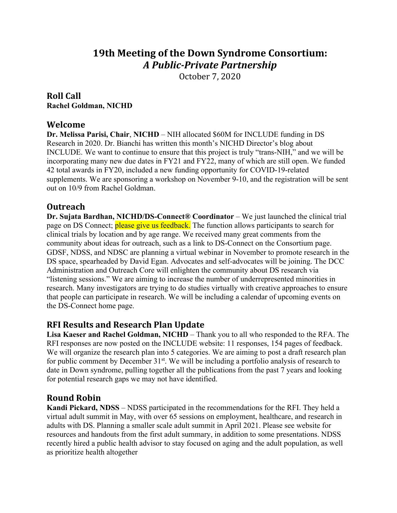# **19th Meeting of the Down Syndrome Consortium:** *A Public-Private Partnership*

October 7, 2020

## **Roll Call Rachel Goldman, NICHD**

## **Welcome**

**Dr. Melissa Parisi, Chair**, **NICHD** – NIH allocated \$60M for INCLUDE funding in DS Research in 2020. Dr. Bianchi has written this month's NICHD Director's blog about INCLUDE. We want to continue to ensure that this project is truly "trans-NIH," and we will be incorporating many new due dates in FY21 and FY22, many of which are still open. We funded 42 total awards in FY20, included a new funding opportunity for COVID-19-related supplements. We are sponsoring a workshop on November 9-10, and the registration will be sent out on 10/9 from Rachel Goldman.

# **Outreach**

**Dr. Sujata Bardhan, NICHD/DS-Connect® Coordinator** – We just launched the clinical trial page on DS Connect; please give us feedback. The function allows participants to search for clinical trials by location and by age range. We received many great comments from the community about ideas for outreach, such as a link to DS-Connect on the Consortium page. GDSF, NDSS, and NDSC are planning a virtual webinar in November to promote research in the DS space, spearheaded by David Egan. Advocates and self-advocates will be joining. The DCC Administration and Outreach Core will enlighten the community about DS research via "listening sessions." We are aiming to increase the number of underrepresented minorities in research. Many investigators are trying to do studies virtually with creative approaches to ensure that people can participate in research. We will be including a calendar of upcoming events on the DS-Connect home page.

# **RFI Results and Research Plan Update**

**Lisa Kaeser and Rachel Goldman, NICHD** – Thank you to all who responded to the RFA. The RFI responses are now posted on the INCLUDE website: 11 responses, 154 pages of feedback. We will organize the research plan into 5 categories. We are aiming to post a draft research plan for public comment by December  $31<sup>st</sup>$ . We will be including a portfolio analysis of research to date in Down syndrome, pulling together all the publications from the past 7 years and looking for potential research gaps we may not have identified.

# **Round Robin**

**Kandi Pickard, NDSS** – NDSS participated in the recommendations for the RFI. They held a virtual adult summit in May, with over 65 sessions on employment, healthcare, and research in adults with DS. Planning a smaller scale adult summit in April 2021. Please see website for resources and handouts from the first adult summary, in addition to some presentations. NDSS recently hired a public health advisor to stay focused on aging and the adult population, as well as prioritize health altogether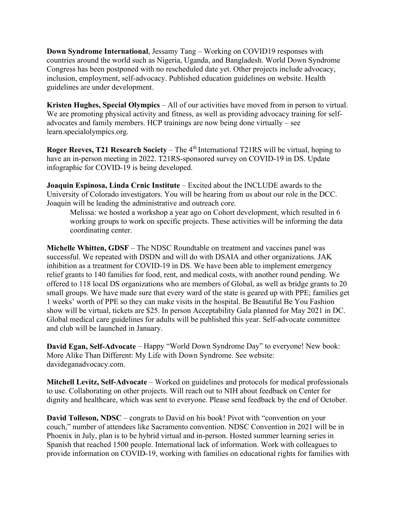**Down Syndrome International**, Jessamy Tang – Working on COVID19 responses with countries around the world such as Nigeria, Uganda, and Bangladesh. World Down Syndrome Congress has been postponed with no rescheduled date yet. Other projects include advocacy, inclusion, employment, self-advocacy. Published education guidelines on website. Health guidelines are under development.

**Kristen Hughes, Special Olympics** – All of our activities have moved from in person to virtual. We are promoting physical activity and fitness, as well as providing advocacy training for selfadvocates and family members. HCP trainings are now being done virtually – see learn.specialolympics.org.

**Roger Reeves, T21 Research Society** – The 4<sup>th</sup> International T21RS will be virtual, hoping to have an in-person meeting in 2022. T21RS-sponsored survey on COVID-19 in DS. Update infographic for COVID-19 is being developed.

**Joaquin Espinosa, Linda Crnic Institute** – Excited about the INCLUDE awards to the University of Colorado investigators. You will be hearing from us about our role in the DCC. Joaquin will be leading the administrative and outreach core.

Melissa: we hosted a workshop a year ago on Cohort development, which resulted in 6 working groups to work on specific projects. These activities will be informing the data coordinating center.

**Michelle Whitten, GDSF** – The NDSC Roundtable on treatment and vaccines panel was successful. We repeated with DSDN and will do with DSAIA and other organizations. JAK inhibition as a treatment for COVID-19 in DS. We have been able to implement emergency relief grants to 140 families for food, rent, and medical costs, with another round pending. We offered to 118 local DS organizations who are members of Global, as well as bridge grants to 20 small groups. We have made sure that every ward of the state is geared up with PPE; families get 1 weeks' worth of PPE so they can make visits in the hospital. Be Beautiful Be You Fashion show will be virtual, tickets are \$25. In person Acceptability Gala planned for May 2021 in DC. Global medical care guidelines for adults will be published this year. Self-advocate committee and club will be launched in January.

**David Egan, Self-Advocate** – Happy "World Down Syndrome Day" to everyone! New book: More Alike Than Different: My Life with Down Syndrome. See website: davideganadvocacy.com.

**Mitchell Levitz, Self-Advocate** – Worked on guidelines and protocols for medical professionals to use. Collaborating on other projects. Will reach out to NIH about feedback on Center for dignity and healthcare, which was sent to everyone. Please send feedback by the end of October.

**David Tolleson, NDSC** – congrats to David on his book! Pivot with "convention on your couch," number of attendees like Sacramento convention. NDSC Convention in 2021 will be in Phoenix in July, plan is to be hybrid virtual and in-person. Hosted summer learning series in Spanish that reached 1500 people. International lack of information. Work with colleagues to provide information on COVID-19, working with families on educational rights for families with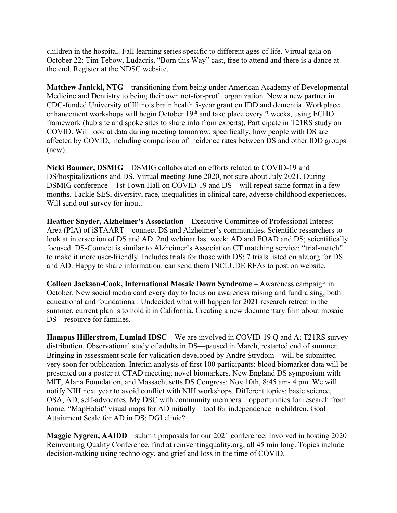children in the hospital. Fall learning series specific to different ages of life. Virtual gala on October 22: Tim Tebow, Ludacris, "Born this Way" cast, free to attend and there is a dance at the end. Register at the NDSC website.

**Matthew Janicki, NTG** – transitioning from being under American Academy of Developmental Medicine and Dentistry to being their own not-for-profit organization. Now a new partner in CDC-funded University of Illinois brain health 5-year grant on IDD and dementia. Workplace enhancement workshops will begin October 19<sup>th</sup> and take place every 2 weeks, using ECHO framework (hub site and spoke sites to share info from experts). Participate in T21RS study on COVID. Will look at data during meeting tomorrow, specifically, how people with DS are affected by COVID, including comparison of incidence rates between DS and other IDD groups (new).

**Nicki Baumer, DSMIG** – DSMIG collaborated on efforts related to COVID-19 and DS/hospitalizations and DS. Virtual meeting June 2020, not sure about July 2021. During DSMIG conference—1st Town Hall on COVID-19 and DS—will repeat same format in a few months. Tackle SES, diversity, race, inequalities in clinical care, adverse childhood experiences. Will send out survey for input.

**Heather Snyder, Alzheimer's Association** – Executive Committee of Professional Interest Area (PIA) of iSTAART—connect DS and Alzheimer's communities. Scientific researchers to look at intersection of DS and AD. 2nd webinar last week: AD and EOAD and DS; scientifically focused. DS-Connect is similar to Alzheimer's Association CT matching service: "trial-match" to make it more user-friendly. Includes trials for those with DS; 7 trials listed on alz.org for DS and AD. Happy to share information: can send them INCLUDE RFAs to post on website.

**Colleen Jackson-Cook, International Mosaic Down Syndrome** – Awareness campaign in October. New social media card every day to focus on awareness raising and fundraising, both educational and foundational. Undecided what will happen for 2021 research retreat in the summer, current plan is to hold it in California. Creating a new documentary film about mosaic DS – resource for families.

**Hampus Hillerstrom, Lumind IDSC** – We are involved in COVID-19 Q and A; T21RS survey distribution. Observational study of adults in DS—paused in March, restarted end of summer. Bringing in assessment scale for validation developed by Andre Strydom—will be submitted very soon for publication. Interim analysis of first 100 participants: blood biomarker data will be presented on a poster at CTAD meeting; novel biomarkers. New England DS symposium with MIT, Alana Foundation, and Massachusetts DS Congress: Nov 10th, 8:45 am- 4 pm. We will notify NIH next year to avoid conflict with NIH workshops. Different topics: basic science, OSA, AD, self-advocates. My DSC with community members—opportunities for research from home. "MapHabit" visual maps for AD initially—tool for independence in children. Goal Attainment Scale for AD in DS: DGI clinic?

**Maggie Nygren, AAIDD** – submit proposals for our 2021 conference. Involved in hosting 2020 Reinventing Quality Conference, find at reinventingquality.org, all 45 min long. Topics include decision-making using technology, and grief and loss in the time of COVID.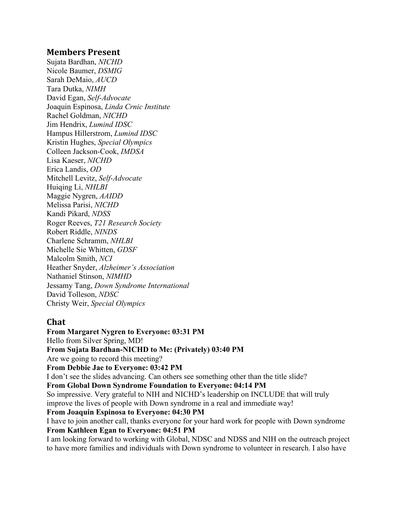#### **Members Present**

Sujata Bardhan, *NICHD* Nicole Baumer, *DSMIG* Sarah DeMaio, *AUCD* Tara Dutka, *NIMH* David Egan, *Self-Advocate* Joaquin Espinosa, *Linda Crnic Institute* Rachel Goldman, *NICHD* Jim Hendrix, *Lumind IDSC* Hampus Hillerstrom, *Lumind IDSC* Kristin Hughes, *Special Olympics* Colleen Jackson-Cook, *IMDSA* Lisa Kaeser, *NICHD* Erica Landis, *OD* Mitchell Levitz, *Self-Advocate*  Huiqing Li, *NHLBI* Maggie Nygren, *AAIDD* Melissa Parisi, *NICHD* Kandi Pikard, *NDSS* Roger Reeves, *T21 Research Society* Robert Riddle, *NINDS* Charlene Schramm, *NHLBI* Michelle Sie Whitten, *GDSF* Malcolm Smith, *NCI* Heather Snyder, *Alzheimer's Association* Nathaniel Stinson, *NIMHD* Jessamy Tang, *Down Syndrome International* David Tolleson, *NDSC* Christy Weir, *Special Olympics*

## **Chat**

**From Margaret Nygren to Everyone: 03:31 PM**  Hello from Silver Spring, MD! **From Sujata Bardhan-NICHD to Me: (Privately) 03:40 PM**  Are we going to record this meeting? **From Debbie Jae to Everyone: 03:42 PM**  I don't see the slides advancing. Can others see something other than the title slide? **From Global Down Syndrome Foundation to Everyone: 04:14 PM**  So impressive. Very grateful to NIH and NICHD's leadership on INCLUDE that will truly improve the lives of people with Down syndrome in a real and immediate way! **From Joaquin Espinosa to Everyone: 04:30 PM**  I have to join another call, thanks everyone for your hard work for people with Down syndrome **From Kathleen Egan to Everyone: 04:51 PM**  I am looking forward to working with Global, NDSC and NDSS and NIH on the outreach project to have more families and individuals with Down syndrome to volunteer in research. I also have